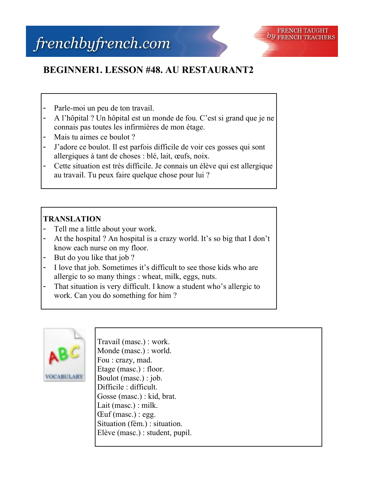## **BEGINNER1. LESSON #48. AU RESTAURANT2**

- Parle-moi un peu de ton travail.
- A l'hôpital ? Un hôpital est un monde de fou. C'est si grand que je ne connais pas toutes les infirmières de mon étage.
- Mais tu aimes ce boulot?
- J'adore ce boulot. Il est parfois difficile de voir ces gosses qui sont allergiques à tant de choses : blé, lait, œufs, noix.
- Cette situation est très difficile. Je connais un élève qui est allergique au travail. Tu peux faire quelque chose pour lui ?

## **TRANSLATION**

- Tell me a little about your work.
- At the hospital ? An hospital is a crazy world. It's so big that I don't know each nurse on my floor.
- But do you like that job ?
- I love that job. Sometimes it's difficult to see those kids who are allergic to so many things : wheat, milk, eggs, nuts.
- That situation is very difficult. I know a student who's allergic to work. Can you do something for him ?



Travail (masc.) : work. Monde (masc.) : world. Fou : crazy, mad. Etage (masc.) : floor. Boulot (masc.) : job. Difficile : difficult. Gosse (masc.) : kid, brat. Lait (masc.) : milk.  $Cut$  (masc.) : egg. Situation (fém.) : situation. Elève (masc.) : student, pupil.